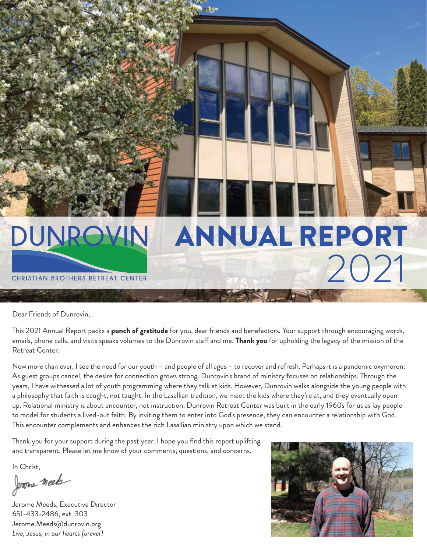

Dear Friends of Dunrovin,

This 2021 Annual Report packs a **punch of gratitude** for you, dear friends and benefactors. Your support through encouraging words, emails, phone calls, and visits speaks volumes to the Dunrovin staff and me. Thank you for upholding the legacy of the mission of the Retreat Center.

Now more than ever, I see the need for our youth – and people of all ages – to recover and refresh. Perhaps it is a pandemic oxymoron: As guest groups cancel, the desire for connection grows strong. Dunrovin's brand of ministry focuses on relationships. Through the years, I have witnessed a lot of youth programming where they talk at kids. However, Dunrovin walks alongside the young people with a philosophy that faith is caught, not taught. In the Lasallian tradition, we meet the kids where they're at, and they eventually open up. Relational ministry is about encounter, not instruction. Dunrovin Retreat Center was built in the early 1960s for us as lay people to model for students a lived-out faith. By inviting them to enter into God's presence, they can encounter a relationship with God. This encounter complements and enhances the rich Lasallian ministry upon which we stand.

Thank you for your support during the past year. I hope you find this report uplifting and transparent. Please let me know of your comments, questions, and concerns.

In Christ,

Jerome meet

Jerome Meeds, Executive Director 651-433-2486, ext. 303 Jerome.Meeds@dunrovin.org *Live, Jesus, in our hearts forever!*

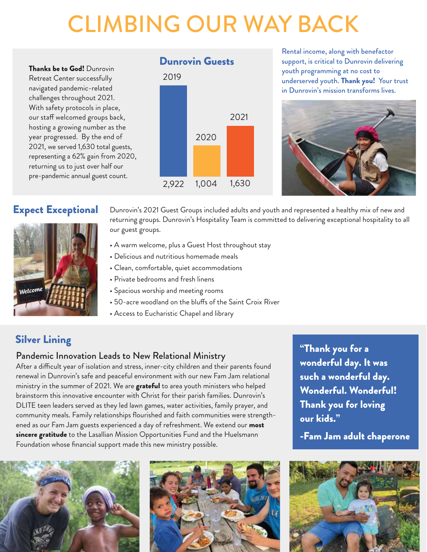## CLIMBING OUR WAY BACK

Thanks be to God! Dunrovin Retreat Center successfully navigated pandemic-related challenges throughout 2021. With safety protocols in place, our staff welcomed groups back, hosting a growing number as the year progressed. By the end of 2021, we served 1,630 total guests, representing a 62% gain from 2020, returning us to just over half our pre-pandemic annual guest count.



Rental income, along with benefactor support, is critical to Dunrovin delivering youth programming at no cost to underserved youth. Thank you! Your trust in Dunrovin's mission transforms lives.



#### Expect Exceptional



Dunrovin's 2021 Guest Groups included adults and youth and represented a healthy mix of new and returning groups. Dunrovin's Hospitality Team is committed to delivering exceptional hospitality to all our guest groups.

- A warm welcome, plus a Guest Host throughout stay
- Delicious and nutritious homemade meals
- Clean, comfortable, quiet accommodations
- Private bedrooms and fresh linens
- Spacious worship and meeting rooms
- 50-acre woodland on the bluffs of the Saint Croix River
- Access to Eucharistic Chapel and library

#### Silver Lining

#### Pandemic Innovation Leads to New Relational Ministry

After a difficult year of isolation and stress, inner-city children and their parents found renewal in Dunrovin's safe and peaceful environment with our new Fam Jam relational ministry in the summer of 2021. We are grateful to area youth ministers who helped brainstorm this innovative encounter with Christ for their parish families. Dunrovin's DLITE teen leaders served as they led lawn games, water activities, family prayer, and community meals. Family relationships flourished and faith communities were strengthened as our Fam Jam guests experienced a day of refreshment. We extend our most sincere gratitude to the Lasallian Mission Opportunities Fund and the Huelsmann Foundation whose financial support made this new ministry possible.





"Thank you for a wonderful day. It was such a wonderful day. Wonderful. Wonderful! Thank you for loving our kids."

-Fam Jam adult chaperone

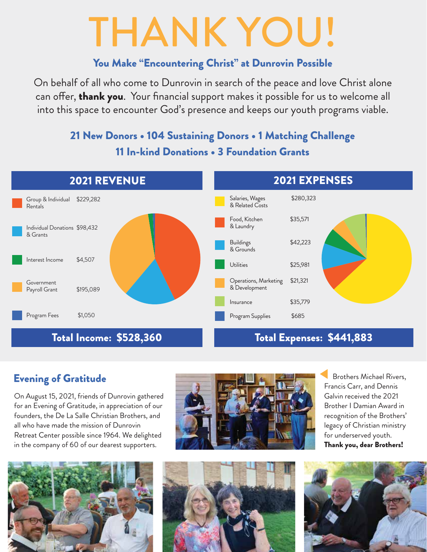# THANK YOU!

#### You Make "Encountering Christ" at Dunrovin Possible

On behalf of all who come to Dunrovin in search of the peace and love Christ alone can offer, thank you. Your financial support makes it possible for us to welcome all into this space to encounter God's presence and keeps our youth programs viable.

#### 21 New Donors • 104 Sustaining Donors • 1 Matching Challenge 11 In-kind Donations • 3 Foundation Grants



#### Evening of Gratitude

On August 15, 2021, friends of Dunrovin gathered for an Evening of Gratitude, in appreciation of our founders, the De La Salle Christian Brothers, and all who have made the mission of Dunrovin Retreat Center possible since 1964. We delighted in the company of 60 of our dearest supporters.





 Brothers Michael Rivers, Francis Carr, and Dennis Galvin received the 2021 Brother I Damian Award in recognition of the Brothers' legacy of Christian ministry for underserved youth. Thank you, dear Brothers!